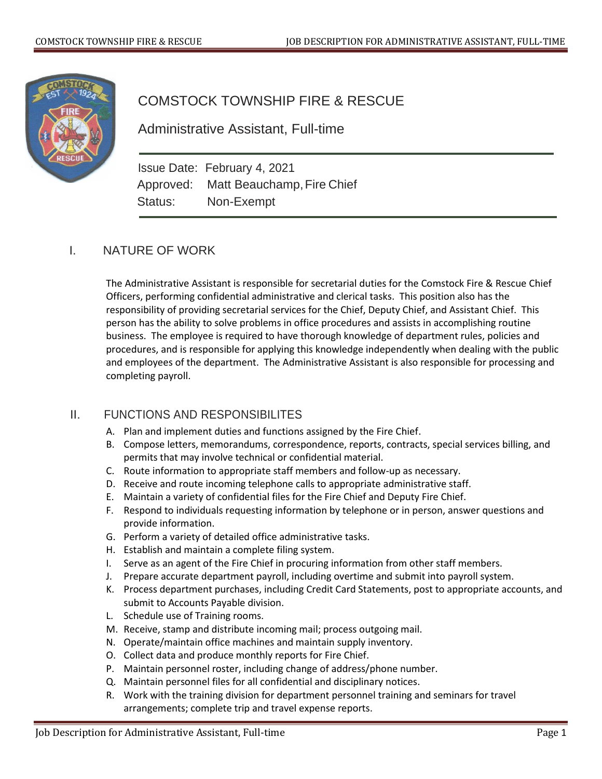

## COMSTOCK TOWNSHIP FIRE & RESCUE

Administrative Assistant, Full-time

Issue Date: February 4, 2021 Approved: Matt Beauchamp, Fire Chief Status: Non-Exempt

## I. NATURE OF WORK

The Administrative Assistant is responsible for secretarial duties for the Comstock Fire & Rescue Chief Officers, performing confidential administrative and clerical tasks. This position also has the responsibility of providing secretarial services for the Chief, Deputy Chief, and Assistant Chief. This person has the ability to solve problems in office procedures and assists in accomplishing routine business. The employee is required to have thorough knowledge of department rules, policies and procedures, and is responsible for applying this knowledge independently when dealing with the public and employees of the department. The Administrative Assistant is also responsible for processing and completing payroll.

## II. FUNCTIONS AND RESPONSIBILITES

- A. Plan and implement duties and functions assigned by the Fire Chief.
- B. Compose letters, memorandums, correspondence, reports, contracts, special services billing, and permits that may involve technical or confidential material.
- C. Route information to appropriate staff members and follow-up as necessary.
- D. Receive and route incoming telephone calls to appropriate administrative staff.
- E. Maintain a variety of confidential files for the Fire Chief and Deputy Fire Chief.
- F. Respond to individuals requesting information by telephone or in person, answer questions and provide information.
- G. Perform a variety of detailed office administrative tasks.
- H. Establish and maintain a complete filing system.
- I. Serve as an agent of the Fire Chief in procuring information from other staff members.
- J. Prepare accurate department payroll, including overtime and submit into payroll system.
- K. Process department purchases, including Credit Card Statements, post to appropriate accounts, and submit to Accounts Payable division.
- L. Schedule use of Training rooms.
- M. Receive, stamp and distribute incoming mail; process outgoing mail.
- N. Operate/maintain office machines and maintain supply inventory.
- O. Collect data and produce monthly reports for Fire Chief.
- P. Maintain personnel roster, including change of address/phone number.
- Q. Maintain personnel files for all confidential and disciplinary notices.
- R. Work with the training division for department personnel training and seminars for travel arrangements; complete trip and travel expense reports.